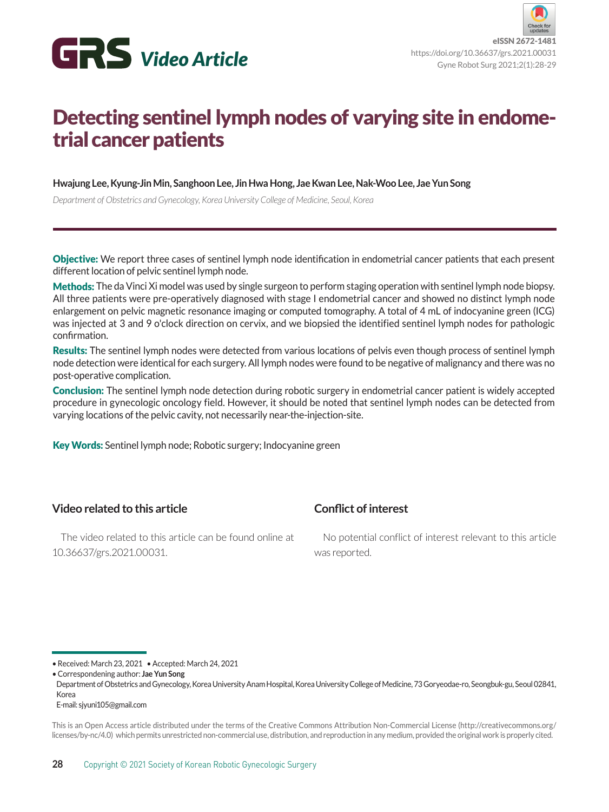

## Detecting sentinel lymph nodes of varying site in endometrial cancer patients

**Hwajung Lee, Kyung-Jin Min, Sanghoon Lee, Jin Hwa Hong, Jae Kwan Lee, Nak-Woo Lee, Jae Yun Song**

*Department of Obstetrics and Gynecology, Korea University College of Medicine, Seoul, Korea*

Objective: We report three cases of sentinel lymph node identification in endometrial cancer patients that each present different location of pelvic sentinel lymph node.

Methods: The da Vinci Xi model was used by single surgeon to perform staging operation with sentinel lymph node biopsy. All three patients were pre-operatively diagnosed with stage I endometrial cancer and showed no distinct lymph node enlargement on pelvic magnetic resonance imaging or computed tomography. A total of 4 mL of indocyanine green (ICG) was injected at 3 and 9 o'clock direction on cervix, and we biopsied the identified sentinel lymph nodes for pathologic confirmation.

Results: The sentinel lymph nodes were detected from various locations of pelvis even though process of sentinel lymph node detection were identical for each surgery. All lymph nodes were found to be negative of malignancy and there was no post-operative complication.

Conclusion: The sentinel lymph node detection during robotic surgery in endometrial cancer patient is widely accepted procedure in gynecologic oncology field. However, it should be noted that sentinel lymph nodes can be detected from varying locations of the pelvic cavity, not necessarily near-the-injection-site.

**Conflict of interest**

Key Words: Sentinel lymph node; Robotic surgery; Indocyanine green

## **Video related to this article**

The video related to this article can be found online at 10.36637/grs.2021.00031.

No potential conflict of interest relevant to this article was reported.

• Received: March 23, 2021 • Accepted: March 24, 2021

• Correspondening author: **Jae Yun Song**

Department of Obstetrics and Gynecology, Korea University Anam Hospital, Korea University College of Medicine, 73 Goryeodae-ro, Seongbuk-gu, Seoul 02841, Korea

E-mail: sjyuni105@gmail.com

This is an Open Access article distributed under the terms of the Creative Commons Attribution Non-Commercial License (http://creativecommons.org/ licenses/by-nc/4.0) which permits unrestricted non-commercial use, distribution, and reproduction in any medium, provided the original work is properly cited.